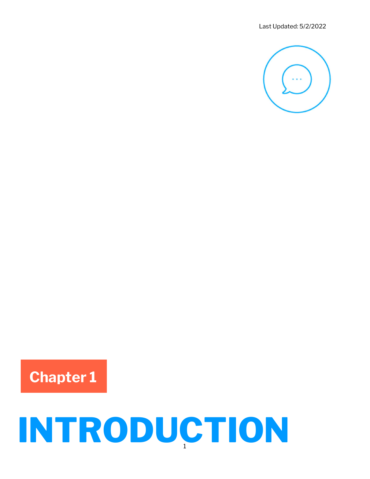Last Updated: 5/2/2022



## Chapter 1

# INTRODUCTION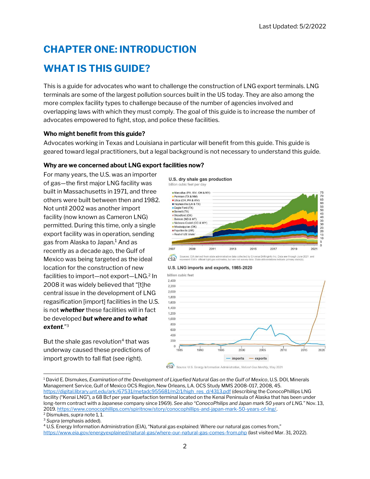## CHAPTER ONE: INTRODUCTION

### WHAT IS THIS GUIDE?

This is a guide for advocates who want to challenge the construction of LNG export terminals. LNG terminals are some of the largest pollution sources built in the US today. They are also among the more complex facility types to challenge because of the number of agencies involved and overlapping laws with which they must comply. The goal of this guide is to increase the number of advocates empowered to fight, stop, and police these facilities.

#### Who might benefit from this guide?

Advocates working in Texas and Louisiana in particular will benefit from this guide. This guide is geared toward legal practitioners, but a legal background is not necessary to understand this guide.

#### Why are we concerned about LNG export facilities now?

For many years, the U.S. was an importer of gas—the first major LNG facility was built in Massachusetts in 1971, and three others were built between then and 1982. Not until 2002 was another import facility (now known as Cameron LNG) permitted. During this time, only a single export facility was in operation, sending gas from Alaska to Japan.<sup>1</sup> And as recently as a decade ago, the Gulf of Mexico was being targeted as the ideal location for the construction of new facilities to import—not export—LNG.<sup>2</sup> In 2008 it was widely believed that "[t]he central issue in the development of LNG regasification [import] facilities in the U.S. is not whether these facilities will in fact be developed but where and to what extent."<sup>3</sup>

But the shale gas revolution<sup>4</sup> that was underway caused these predictions of import growth to fall flat (see right).





eta Source: U.S. Energy Information Administration, Natural Gas Monthly, May 2021

<sup>2</sup> Dismukes, supra note 1, 1.

<sup>1</sup> David E. Dismukes, Examination of the Development of Liquefied Natural Gas on the Gulf of Mexico, U.S. DOI, Minerals Management Service, Gulf of Mexico OCS Region, New Orleans, LA. OCS Study MMS 2008-017, 2008, 45. https://digital.library.unt.edu/ark:/67531/metadc955681/m2/1/high\_res\_d/4313.pdf (describing the ConocoPhillips LNG facility ("Kenai LNG"), a 68 Bcf per year liquefaction terminal located on the Kenai Peninsula of Alaska that has been under long-term contract with a Japanese company since 1969). See also "ConocoPhilips and Japan mark 50 years of LNG." Nov. 13, 2019. https://www.conocophillips.com/spiritnow/story/conocophillips-and-japan-mark-50-years-of-lng/.

<sup>&</sup>lt;sup>3</sup> Supra (emphasis added).

<sup>4</sup> U.S. Energy Information Administration (EIA), "Natural gas explained: Where our natural gas comes from," https://www.eia.gov/energyexplained/natural-gas/where-our-natural-gas-comes-from.php (last visited Mar. 31, 2022).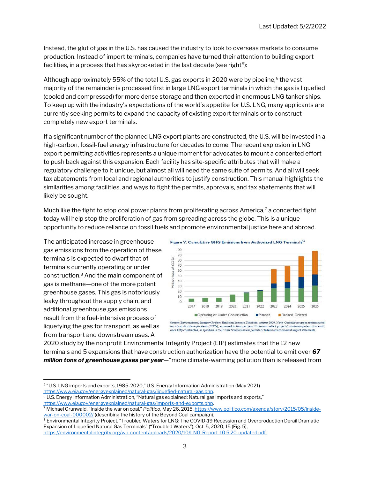Instead, the glut of gas in the U.S. has caused the industry to look to overseas markets to consume production. Instead of import terminals, companies have turned their attention to building export facilities, in a process that has skyrocketed in the last decade (see right $^5$ ):

Although approximately 55% of the total U.S. gas exports in 2020 were by pipeline, $^6$  the vast majority of the remainder is processed first in large LNG export terminals in which the gas is liquefied (cooled and compressed) for more dense storage and then exported in enormous LNG tanker ships. To keep up with the industry's expectations of the world's appetite for U.S. LNG, many applicants are currently seeking permits to expand the capacity of existing export terminals or to construct completely new export terminals.

If a significant number of the planned LNG export plants are constructed, the U.S. will be invested in a high-carbon, fossil-fuel energy infrastructure for decades to come. The recent explosion in LNG export permitting activities represents a unique moment for advocates to mount a concerted effort to push back against this expansion. Each facility has site-specific attributes that will make a regulatory challenge to it unique, but almost all will need the same suite of permits. And all will seek tax abatements from local and regional authorities to justify construction. This manual highlights the similarities among facilities, and ways to fight the permits, approvals, and tax abatements that will likely be sought.

Much like the fight to stop coal power plants from proliferating across America,<sup>7</sup> a concerted fight today will help stop the proliferation of gas from spreading across the globe. This is a unique opportunity to reduce reliance on fossil fuels and promote environmental justice here and abroad.

The anticipated increase in greenhouse gas emissions from the operation of these terminals is expected to dwarf that of terminals currently operating or under construction.<sup>8</sup> And the main component of gas is methane—one of the more potent greenhouse gases. This gas is notoriously leaky throughout the supply chain, and additional greenhouse gas emissions result from the fuel-intensive process of liquefying the gas for transport, as well as from transport and downstream uses. A



in carbon dioxide equivalents (CO2e), expressed in tons per year. Emissions reflect projects' maximum potential to emit, once fully-constructed, as specified in their New Source Review permits or federal environmental impact statements.

2020 study by the nonprofit Environmental Integrity Project (EIP) estimates that the 12 new terminals and 5 expansions that have construction authorization have the potential to emit over 67 million tons of greenhouse gases per year—"more climate-warming pollution than is released from

5 "U.S. LNG imports and exports, 1985-2020," U.S. Energy Information Administration (May 2021) https://www.eia.gov/energyexplained/natural-gas/liquefied-natural-gas.php.

 $^8$  Environmental Integrity Project, "Troubled Waters for LNG: The COVID-19 Recession and Overproduction Derail Dramatic Expansion of Liquefied Natural Gas Terminals" ("Troubled Waters"), Oct. 5, 2020, 15 (Fig. 5), https://environmentalintegrity.org/wp-content/uploads/2020/10/LNG-Report-10.5.20-updated.pdf.

 $6$  U.S. Energy Information Administration, "Natural gas explained: Natural gas imports and exports," https://www.eia.gov/energyexplained/natural-gas/imports-and-exports.php.

<sup>&</sup>lt;sup>7</sup> Michael Grunwald, "Inside the war on coal," Politico, May 26, 2015, <u>https://www.politico.com/agenda/story/2015/05/inside-</u> war-on-coal-000002/ (describing the history of the Beyond Coal campaign).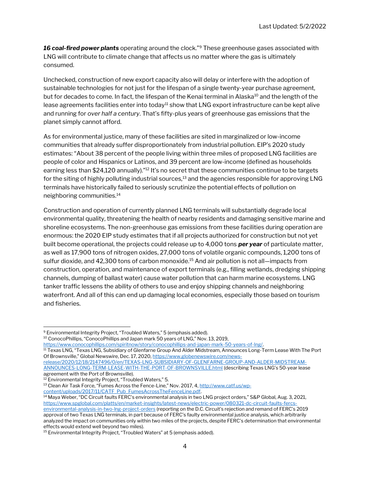**16 coal-fired power plants** operating around the clock."<sup>9</sup> These greenhouse gases associated with LNG will contribute to climate change that affects us no matter where the gas is ultimately consumed.

Unchecked, construction of new export capacity also will delay or interfere with the adoption of sustainable technologies for not just for the lifespan of a single twenty-year purchase agreement, but for decades to come. In fact, the lifespan of the Kenai terminal in Alaska<sup>10</sup> and the length of the lease agreements facilities enter into today<sup>11</sup> show that LNG export infrastructure can be kept alive and running for over half a century. That's fifty-plus years of greenhouse gas emissions that the planet simply cannot afford.

As for environmental justice, many of these facilities are sited in marginalized or low-income communities that already suffer disproportionately from industrial pollution. EIP's 2020 study estimates: "About 38 percent of the people living within three miles of proposed LNG facilities are people of color and Hispanics or Latinos, and 39 percent are low-income (defined as households earning less than \$24,120 annually)."<sup>12</sup> It's no secret that these communities continue to be targets for the siting of highly polluting industrial sources,<sup>13</sup> and the agencies responsible for approving LNG terminals have historically failed to seriously scrutinize the potential effects of pollution on neighboring communities.<sup>14</sup>

Construction and operation of currently planned LNG terminals will substantially degrade local environmental quality, threatening the health of nearby residents and damaging sensitive marine and shoreline ecosystems. The non-greenhouse gas emissions from these facilities during operation are enormous: the 2020 EIP study estimates that if all projects authorized for construction but not yet built become operational, the projects could release up to 4,000 tons **per year** of particulate matter, as well as 17,900 tons of nitrogen oxides, 27,000 tons of volatile organic compounds, 1,200 tons of sulfur dioxide, and 42,300 tons of carbon monoxide.<sup>15</sup> And air pollution is not all—impacts from construction, operation, and maintenance of export terminals (e.g., filling wetlands, dredging shipping channels, dumping of ballast water) cause water pollution that can harm marine ecosystems. LNG tanker traffic lessens the ability of others to use and enjoy shipping channels and neighboring waterfront. And all of this can end up damaging local economies, especially those based on tourism and fisheries.

release/2020/12/18/2147496/0/en/TEXAS-LNG-SUBSIDIARY-OF-GLENFARNE-GROUP-AND-ALDER-MIDSTREAM-ANNOUNCES-LONG-TERM-LEASE-WITH-THE-PORT-OF-BROWNSVILLE.html (describing Texas LNG's 50-year lease agreement with the Port of Brownsville).

<sup>13</sup> Clean Air Task Force, "Fumes Across the Fence-Line," Nov. 2017, 4, http://www.catf.us/wpcontent/uploads/2017/11/CATF\_Pub\_FumesAcrossTheFenceLine.pdf.

<sup>9</sup> Environmental Integrity Project, "Troubled Waters," 5 (emphasis added). <sup>10</sup> ConocoPhillips, "ConocoPhillips and Japan mark 50 years of LNG," Nov. 13, 2019,

https://www.conocophillips.com/spiritnow/story/conocophillips-and-japan-mark-50-years-of-lng/.

<sup>&</sup>lt;sup>11</sup> Texas LNG, "Texas LNG, Subsidiary of Glenfarne Group And Alder Midstream, Announces Long-Term Lease With The Port Of Brownsville," Global Newswire, Dec. 17, 2020, https://www.globenewswire.com/news-

<sup>&</sup>lt;sup>12</sup> Environmental Integrity Project, "Troubled Waters," 5.

<sup>&</sup>lt;sup>14</sup> Maya Weber, "DC Circuit faults FERC's environmental analysis in two LNG project orders," S&P Global, Aug. 3, 2021, https://www.spglobal.com/platts/en/market-insights/latest-news/electric-power/080321-dc-circuit-faults-fercsenvironmental-analysis-in-two-lng-project-orders (reporting on the D.C. Circuit's rejection and remand of FERC's 2019 approval of two Texas LNG terminals, in part because of FERC's faulty environmental justice analysis, which arbitrarily analyzed the impact on communities only within two miles of the projects, despite FERC's determination that environmental effects would extend well beyond two miles).

<sup>&</sup>lt;sup>15</sup> Environmental Integrity Project, "Troubled Waters" at 5 (emphasis added).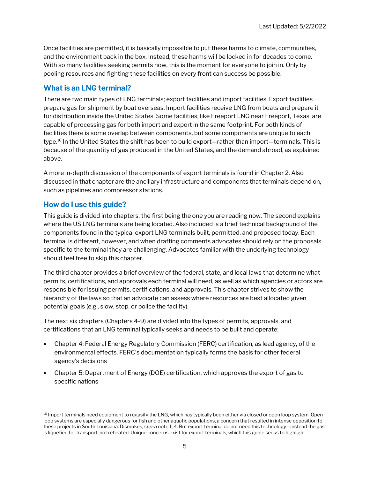Once facilities are permitted, it is basically impossible to put these harms to climate, communities, and the environment back in the box. Instead, these harms will be locked in for decades to come. With so many facilities seeking permits now, this is the moment for everyone to join in. Only by pooling resources and fighting these facilities on every front can success be possible.

#### What is an LNG terminal?

There are two main types of LNG terminals; export facilities and import facilities. Export facilities prepare gas for shipment by boat overseas. Import facilities receive LNG from boats and prepare it for distribution inside the United States. Some facilities, like Freeport LNG near Freeport, Texas, are capable of processing gas for both import and export in the same footprint. For both kinds of facilities there is some overlap between components, but some components are unique to each type.<sup>16</sup> In the United States the shift has been to build export—rather than import—terminals. This is because of the quantity of gas produced in the United States, and the demand abroad, as explained above.

A more in-depth discussion of the components of export terminals is found in Chapter 2. Also discussed in that chapter are the ancillary infrastructure and components that terminals depend on, such as pipelines and compressor stations.

#### How do I use this guide?

This guide is divided into chapters, the first being the one you are reading now. The second explains where the US LNG terminals are being located. Also included is a brief technical background of the components found in the typical export LNG terminals built, permitted, and proposed today. Each terminal is different, however, and when drafting comments advocates should rely on the proposals specific to the terminal they are challenging. Advocates familiar with the underlying technology should feel free to skip this chapter.

The third chapter provides a brief overview of the federal, state, and local laws that determine what permits, certifications, and approvals each terminal will need, as well as which agencies or actors are responsible for issuing permits, certifications, and approvals. This chapter strives to show the hierarchy of the laws so that an advocate can assess where resources are best allocated given potential goals (e.g., slow, stop, or police the facility).

The next six chapters (Chapters 4-9) are divided into the types of permits, approvals, and certifications that an LNG terminal typically seeks and needs to be built and operate:

- Chapter 4: Federal Energy Regulatory Commission (FERC) certification, as lead agency, of the environmental effects. FERC's documentation typically forms the basis for other federal agency's decisions
- Chapter 5: Department of Energy (DOE) certification, which approves the export of gas to specific nations

<sup>&</sup>lt;sup>16</sup> Import terminals need equipment to regasify the LNG, which has typically been either via closed or open loop system. Open loop systems are especially dangerous for fish and other aquatic populations, a concern that resulted in intense opposition to these projects in South Louisiana. Dismukes, supra note 1, 4. But export terminal do not need this technology—instead the gas is liquefied for transport, not reheated. Unique concerns exist for export terminals, which this guide seeks to highlight.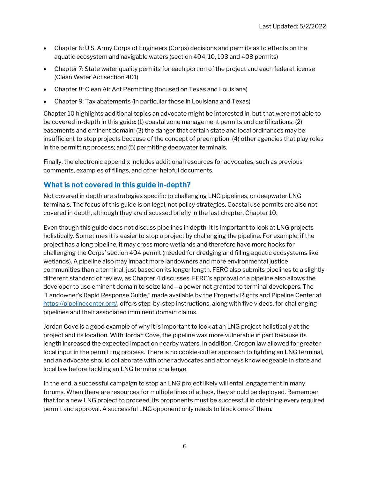- Chapter 6: U.S. Army Corps of Engineers (Corps) decisions and permits as to effects on the aquatic ecosystem and navigable waters (section 404, 10, 103 and 408 permits)
- Chapter 7: State water quality permits for each portion of the project and each federal license (Clean Water Act section 401)
- Chapter 8: Clean Air Act Permitting (focused on Texas and Louisiana)
- Chapter 9: Tax abatements (in particular those in Louisiana and Texas)

Chapter 10 highlights additional topics an advocate might be interested in, but that were not able to be covered in-depth in this guide: (1) coastal zone management permits and certifications; (2) easements and eminent domain; (3) the danger that certain state and local ordinances may be insufficient to stop projects because of the concept of preemption; (4) other agencies that play roles in the permitting process; and (5) permitting deepwater terminals.

Finally, the electronic appendix includes additional resources for advocates, such as previous comments, examples of filings, and other helpful documents.

#### What is not covered in this guide in-depth?

Not covered in depth are strategies specific to challenging LNG pipelines, or deepwater LNG terminals. The focus of this guide is on legal, not policy strategies. Coastal use permits are also not covered in depth, although they are discussed briefly in the last chapter, Chapter 10.

Even though this guide does not discuss pipelines in depth, it is important to look at LNG projects holistically. Sometimes it is easier to stop a project by challenging the pipeline. For example, if the project has a long pipeline, it may cross more wetlands and therefore have more hooks for challenging the Corps' section 404 permit (needed for dredging and filling aquatic ecosystems like wetlands). A pipeline also may impact more landowners and more environmental justice communities than a terminal, just based on its longer length. FERC also submits pipelines to a slightly different standard of review, as Chapter 4 discusses. FERC's approval of a pipeline also allows the developer to use eminent domain to seize land—a power not granted to terminal developers. The "Landowner's Rapid Response Guide," made available by the Property Rights and Pipeline Center at https://pipelinecenter.org/, offers step-by-step instructions, along with five videos, for challenging pipelines and their associated imminent domain claims.

Jordan Cove is a good example of why it is important to look at an LNG project holistically at the project and its location. With Jordan Cove, the pipeline was more vulnerable in part because its length increased the expected impact on nearby waters. In addition, Oregon law allowed for greater local input in the permitting process. There is no cookie-cutter approach to fighting an LNG terminal, and an advocate should collaborate with other advocates and attorneys knowledgeable in state and local law before tackling an LNG terminal challenge.

In the end, a successful campaign to stop an LNG project likely will entail engagement in many forums. When there are resources for multiple lines of attack, they should be deployed. Remember that for a new LNG project to proceed, its proponents must be successful in obtaining every required permit and approval. A successful LNG opponent only needs to block one of them.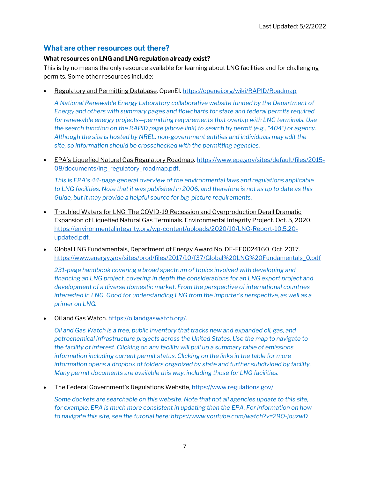#### What are other resources out there?

#### What resources on LNG and LNG regulation already exist?

This is by no means the only resource available for learning about LNG facilities and for challenging permits. Some other resources include:

Regulatory and Permitting Database. OpenEI. https://openei.org/wiki/RAPID/Roadmap.

A National Renewable Energy Laboratory collaborative website funded by the Department of Energy and others with summary pages and flowcharts for state and federal permits required for renewable energy projects—permitting requirements that overlap with LNG terminals. Use the search function on the RAPID page (above link) to search by permit (e.g., "404") or agency. Although the site is hosted by NREL, non-government entities and individuals may edit the site, so information should be crosschecked with the permitting agencies.

 EPA's Liquefied Natural Gas Regulatory Roadmap. https://www.epa.gov/sites/default/files/2015- 08/documents/lng\_regulatory\_roadmap.pdf.

This is EPA's 44-page general overview of the environmental laws and regulations applicable to LNG facilities. Note that it was published in 2006, and therefore is not as up to date as this Guide, but it may provide a helpful source for big-picture requirements.

- Troubled Waters for LNG: The COVID-19 Recession and Overproduction Derail Dramatic Expansion of Liquefied Natural Gas Terminals. Environmental Integrity Project. Oct. 5, 2020. https://environmentalintegrity.org/wp-content/uploads/2020/10/LNG-Report-10.5.20 updated.pdf.
- Global LNG Fundamentals, Department of Energy Award No. DE-FE0024160. Oct. 2017. https://www.energy.gov/sites/prod/files/2017/10/f37/Global%20LNG%20Fundamentals\_0.pdf

231-page handbook covering a broad spectrum of topics involved with developing and financing an LNG project, covering in depth the considerations for an LNG export project and development of a diverse domestic market. From the perspective of international countries interested in LNG. Good for understanding LNG from the importer's perspective, as well as a primer on LNG.

Oil and Gas Watch. https://oilandgaswatch.org/.

Oil and Gas Watch is a free, public inventory that tracks new and expanded oil, gas, and petrochemical infrastructure projects across the United States. Use the map to navigate to the facility of interest. Clicking on any facility will pull up a summary table of emissions information including current permit status. Clicking on the links in the table for more information opens a dropbox of folders organized by state and further subdivided by facility. Many permit documents are available this way, including those for LNG facilities.

The Federal Government's Regulations Website, https://www.regulations.gov/.

Some dockets are searchable on this website. Note that not all agencies update to this site, for example, EPA is much more consistent in updating than the EPA. For information on how to navigate this site, see the tutorial here: https://www.youtube.com/watch?v=29O-jouzwD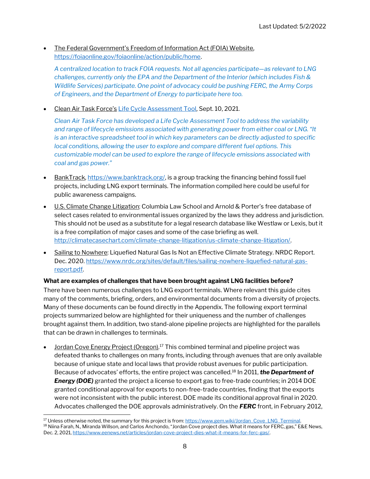The Federal Government's Freedom of Information Act (FOIA) Website, https://foiaonline.gov/foiaonline/action/public/home.

A centralized location to track FOIA requests. Not all agencies participate—as relevant to LNG challenges, currently only the EPA and the Department of the Interior (which includes Fish & Wildlife Services) participate. One point of advocacy could be pushing FERC, the Army Corps of Engineers, and the Department of Energy to participate here too.

Clean Air Task Force's Life Cycle Assessment Tool, Sept. 10, 2021.

Clean Air Task Force has developed a Life Cycle Assessment Tool to address the variability and range of lifecycle emissions associated with generating power from either coal or LNG. "It is an interactive spreadsheet tool in which key parameters can be directly adjusted to specific local conditions, allowing the user to explore and compare different fuel options. This customizable model can be used to explore the range of lifecycle emissions associated with coal and gas power."

- BankTrack, https://www.banktrack.org/, is a group tracking the financing behind fossil fuel projects, including LNG export terminals. The information compiled here could be useful for public awareness campaigns.
- U.S. Climate Change Litigation: Columbia Law School and Arnold & Porter's free database of select cases related to environmental issues organized by the laws they address and jurisdiction. This should not be used as a substitute for a legal research database like Westlaw or Lexis, but it is a free compilation of major cases and some of the case briefing as well. http://climatecasechart.com/climate-change-litigation/us-climate-change-litigation/.
- Sailing to Nowhere: Liquefied Natural Gas Is Not an Effective Climate Strategy. NRDC Report. Dec. 2020. https://www.nrdc.org/sites/default/files/sailing-nowhere-liquefied-natural-gasreport.pdf.

#### What are examples of challenges that have been brought against LNG facilities before?

There have been numerous challenges to LNG export terminals. Where relevant this guide cites many of the comments, briefing, orders, and environmental documents from a diversity of projects. Many of these documents can be found directly in the Appendix. The following export terminal projects summarized below are highlighted for their uniqueness and the number of challenges brought against them. In addition, two stand-alone pipeline projects are highlighted for the parallels that can be drawn in challenges to terminals.

Jordan Cove Energy Project (Oregon).<sup>17</sup> This combined terminal and pipeline project was defeated thanks to challenges on many fronts, including through avenues that are only available because of unique state and local laws that provide robust avenues for public participation. Because of advocates' efforts, the entire project was cancelled.<sup>18</sup> In 2011, the Department of **Energy (DOE)** granted the project a license to export gas to free-trade countries; in 2014 DOE granted conditional approval for exports to non-free-trade countries, finding that the exports were not inconsistent with the public interest. DOE made its conditional approval final in 2020. Advocates challenged the DOE approvals administratively. On the FERC front, in February 2012,

<sup>&</sup>lt;sup>17</sup> Unless otherwise noted, the summary for this project is from: https://www.gem.wiki/Jordan\_Cove\_LNG\_Terminal. <sup>18</sup> Niina Farah, N., Miranda Willson, and Carlos Anchondo, "Jordan Cove project dies. What it means for FERC, gas," E&E News, Dec. 2, 2021, https://www.eenews.net/articles/jordan-cove-project-dies-what-it-means-for-ferc-gas/.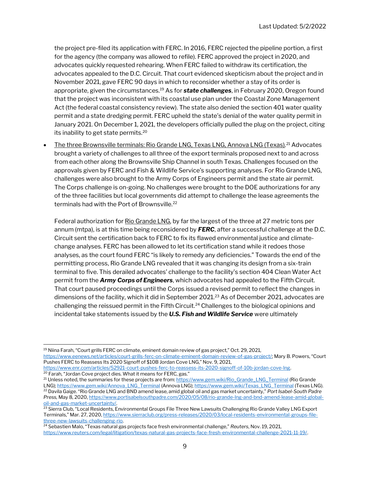the project pre-filed its application with FERC. In 2016, FERC rejected the pipeline portion, a first for the agency (the company was allowed to refile). FERC approved the project in 2020, and advocates quickly requested rehearing. When FERC failed to withdraw its certification, the advocates appealed to the D.C. Circuit. That court evidenced skepticism about the project and in November 2021, gave FERC 90 days in which to reconsider whether a stay of its order is appropriate, given the circumstances.<sup>19</sup> As for **state challenges**, in February 2020, Oregon found that the project was inconsistent with its coastal use plan under the Coastal Zone Management Act (the federal coastal consistency review). The state also denied the section 401 water quality permit and a state dredging permit. FERC upheld the state's denial of the water quality permit in January 2021. On December 1, 2021, the developers officially pulled the plug on the project, citing its inability to get state permits.<sup>20</sup>

The three Brownsville terminals: Rio Grande LNG, Texas LNG, Annova LNG (Texas).<sup>21</sup> Advocates brought a variety of challenges to all three of the export terminals proposed next to and across from each other along the Brownsville Ship Channel in south Texas. Challenges focused on the approvals given by FERC and Fish & Wildlife Service's supporting analyses. For Rio Grande LNG, challenges were also brought to the Army Corps of Engineers permit and the state air permit. The Corps challenge is on-going. No challenges were brought to the DOE authorizations for any of the three facilities but local governments did attempt to challenge the lease agreements the terminals had with the Port of Brownsville.<sup>22</sup>

Federal authorization for Rio Grande LNG, by far the largest of the three at 27 metric tons per annum (mtpa), is at this time being reconsidered by **FERC**, after a successful challenge at the D.C. Circuit sent the certification back to FERC to fix its flawed environmental justice and climatechange analyses. FERC has been allowed to let its certification stand while it redoes those analyses, as the court found FERC "is likely to remedy any deficiencies." Towards the end of the permitting process, Rio Grande LNG revealed that it was changing its design from a six-train terminal to five. This derailed advocates' challenge to the facility's section 404 Clean Water Act permit from the **Army Corps of Engineers**, which advocates had appealed to the Fifth Circuit. That court paused proceedings until the Corps issued a revised permit to reflect the changes in dimensions of the facility, which it did in September 2021.<sup>23</sup> As of December 2021, advocates are challenging the reissued permit in the Fifth Circuit.<sup>24</sup> Challenges to the biological opinions and incidental take statements issued by the U.S. Fish and Wildlife Service were ultimately

https://www.enr.com/articles/52921-court-pushes-ferc-to-reassess-its-2020-signoff-of-10b-jordan-cove-lng. <sup>20</sup> Farah, "Jordan Cove project dies. What it means for FERC, gas."

<sup>&</sup>lt;sup>19</sup> Niina Farah, "Court grills FERC on climate, eminent domain review of gas project," Oct. 29, 2021, https://www.eenews.net/articles/court-grills-ferc-on-climate-eminent-domain-review-of-gas-project/; Mary B. Powers, "Court Pushes FERC to Reassess Its 2020 Signoff of \$10B Jordan Cove LNG," Nov. 9, 2021,

<sup>&</sup>lt;sup>21</sup> Unless noted, the summaries for these projects are from: https://www.gem.wiki/Rio\_Grande\_LNG\_Terminal (Rio Grande LNG); https://www.gem.wiki/Annova\_LNG\_Terminal (Annova LNG); https://www.gem.wiki/Texas\_LNG\_Terminal (Texas LNG). <sup>22</sup> Davila Gaige. "Rio Grande LNG and BND amend lease, amid global oil and gas market uncertainty," Port Isabel-South Padre Press, May 8, 2020, https://www.portisabelsouthpadre.com/2020/05/08/rio-grande-lng-and-bnd-amend-lease-amid-globaloil-and-gas-market-uncertainty/.

<sup>&</sup>lt;sup>23</sup> Sierra Club, "Local Residents, Environmental Groups File Three New Lawsuits Challenging Rio Grande Valley LNG Export Terminals," Mar. 27, 2020, https://www.sierraclub.org/press-releases/2020/03/local-residents-environmental-groups-filethree-new-lawsuits-challenging-rio.

 $\frac{1}{24}$  Sebastien Malo, "Texas natural gas projects face fresh environmental challenge," Reuters, Nov. 19, 2021, https://www.reuters.com/legal/litigation/texas-natural-gas-projects-face-fresh-environmental-challenge-2021-11-19/.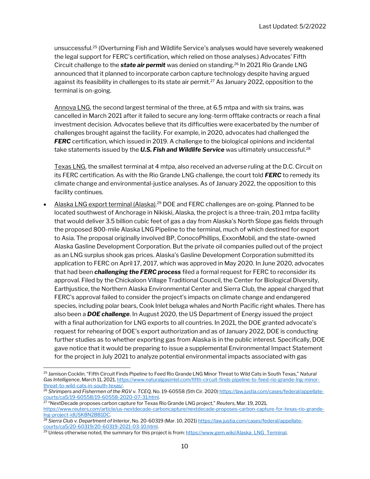unsuccessful.<sup>25</sup> (Overturning Fish and Wildlife Service's analyses would have severely weakened the legal support for FERC's certification, which relied on those analyses.) Advocates' Fifth Circuit challenge to the **state air permit** was denied on standing.<sup>26</sup> In 2021 Rio Grande LNG announced that it planned to incorporate carbon capture technology despite having argued against its feasibility in challenges to its state air permit.<sup>27</sup> As January 2022, opposition to the terminal is on-going.

Annova LNG, the second largest terminal of the three, at 6.5 mtpa and with six trains, was cancelled in March 2021 after it failed to secure any long-term offtake contracts or reach a final investment decision. Advocates believe that its difficulties were exacerbated by the number of challenges brought against the facility. For example, in 2020, advocates had challenged the **FERC** certification, which issued in 2019. A challenge to the biological opinions and incidental take statements issued by the U.S. Fish and Wildlife Service was ultimately unsuccessful.<sup>28</sup>

Texas LNG, the smallest terminal at 4 mtpa, also received an adverse ruling at the D.C. Circuit on its FERC certification. As with the Rio Grande LNG challenge, the court told FERC to remedy its climate change and environmental-justice analyses. As of January 2022, the opposition to this facility continues.

 Alaska LNG export terminal (Alaska).<sup>29</sup> DOE and FERC challenges are on-going. Planned to be located southwest of Anchorage in Nikiski, Alaska, the project is a three-train, 20.1 mtpa facility that would deliver 3.5 billion cubic feet of gas a day from Alaska's North Slope gas fields through the proposed 800-mile Alaska LNG Pipeline to the terminal, much of which destined for export to Asia. The proposal originally involved BP, ConocoPhillips, ExxonMobil, and the state-owned Alaska Gasline Development Corporation. But the private oil companies pulled out of the project as an LNG surplus shook gas prices. Alaska's Gasline Development Corporation submitted its application to FERC on April 17, 2017, which was approved in May 2020. In June 2020, advocates that had been *challenging the FERC process* filed a formal request for FERC to reconsider its approval. Filed by the Chickaloon Village Traditional Council, the Center for Biological Diversity, Earthjustice, the Northern Alaska Environmental Center and Sierra Club, the appeal charged that FERC's approval failed to consider the project's impacts on climate change and endangered species, including polar bears, Cook Inlet beluga whales and North Pacific right whales. There has also been a **DOE challenge**. In August 2020, the US Department of Energy issued the project with a final authorization for LNG exports to all countries. In 2021, the DOE granted advocate's request for rehearing of DOE's export authorization and as of January 2022, DOE is conducting further studies as to whether exporting gas from Alaska is in the public interest. Specifically, DOE gave notice that it would be preparing to issue a supplemental Environmental Impact Statement for the project in July 2021 to analyze potential environmental impacts associated with gas

<sup>&</sup>lt;sup>25</sup> Jamison Cocklin. "Fifth Circuit Finds Pipeline to Feed Rio Grande LNG Minor Threat to Wild Cats in South Texas." Natural Gas Intelligence, March 11, 2021, https://www.naturalgasintel.com/fifth-circuit-finds-pipeline-to-feed-rio-grande-lng-minorthreat-to-wild-cats-in-south-texas/.

<sup>&</sup>lt;sup>26</sup> Shrimpers and Fishermen of the RGV v. TCEQ, No. 19-60558 (5th Cir. 2020) https://law.justia.com/cases/federal/appellatecourts/ca5/19-60558/19-60558-2020-07-31.html.

<sup>&</sup>lt;sup>27</sup> "NextDecade proposes carbon capture for Texas Rio Grande LNG project," Reuters, Mar. 19, 2021, https://www.reuters.com/article/us-nextdecade-carboncapture/nextdecade-proposes-carbon-capture-for-texas-rio-grandelng-project-idUSKBN2BB1DC.

<sup>&</sup>lt;sup>28</sup> Sierra Club v. Department of Interior, No. 20-60319 (Mar. 10, 2021) https://law.justia.com/cases/federal/appellatecourts/ca5/20-60319/20-60319-2021-03-10.html.

<sup>&</sup>lt;sup>29</sup> Unless otherwise noted, the summary for this project is from: https://www.gem.wiki/Alaska\_LNG\_Terminal.